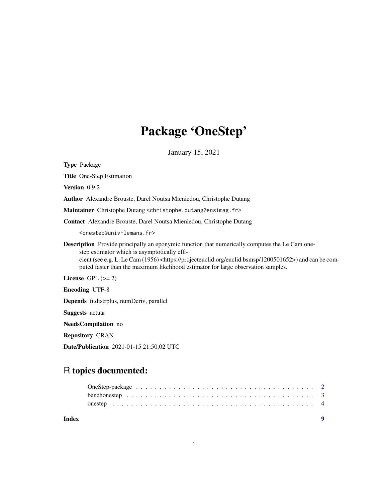## Package 'OneStep'

January 15, 2021

<span id="page-0-0"></span>Type Package Title One-Step Estimation Version 0.9.2 Author Alexandre Brouste, Darel Noutsa Mieniedou, Christophe Dutang Maintainer Christophe Dutang <christophe.dutang@ensimag.fr> Contact Alexandre Brouste, Darel Noutsa Mieniedou, Christophe Dutang <onestep@univ-lemans.fr> Description Provide principally an eponymic function that numerically computes the Le Cam onestep estimator which is asymptotically efficient (see e.g. L. Le Cam (1956) <https://projecteuclid.org/euclid.bsmsp/1200501652>) and can be computed faster than the maximum likelihood estimator for large observation samples. License GPL  $(>= 2)$ Encoding UTF-8 Depends fitdistrplus, numDeriv, parallel Suggests actuar

NeedsCompilation no

Repository CRAN

Date/Publication 2021-01-15 21:50:02 UTC

### R topics documented:

| Index |  |
|-------|--|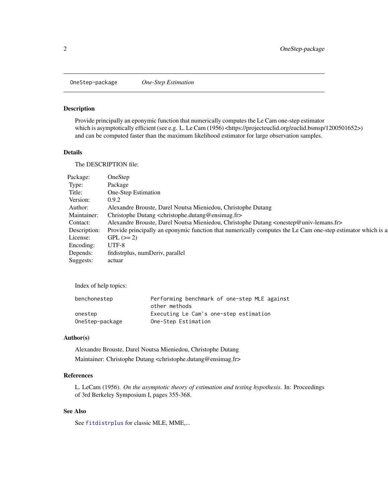<span id="page-1-0"></span>OneStep-package *One-Step Estimation*

#### Description

Provide principally an eponymic function that numerically computes the Le Cam one-step estimator which is asymptotically efficient (see e.g. L. Le Cam (1956) <https://projecteuclid.org/euclid.bsmsp/1200501652>) and can be computed faster than the maximum likelihood estimator for large observation samples.

#### Details

The DESCRIPTION file:

Index of help topics:

| benchonestep    | Performing benchmark of one-step MLE against |
|-----------------|----------------------------------------------|
|                 | other methods                                |
| onestep         | Executing Le Cam's one-step estimation       |
| OneStep-package | One-Step Estimation                          |

#### Author(s)

Alexandre Brouste, Darel Noutsa Mieniedou, Christophe Dutang Maintainer: Christophe Dutang <christophe.dutang@ensimag.fr>

#### References

L. LeCam (1956). *On the asymptotic theory of estimation and testing hypothesis*. In: Proceedings of 3rd Berkeley Symposium I, pages 355-368.

#### See Also

See [fitdistrplus](#page-0-0) for classic MLE, MME,...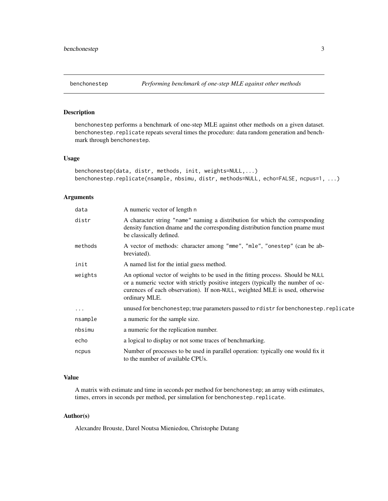#### <span id="page-2-0"></span>Description

benchonestep performs a benchmark of one-step MLE against other methods on a given dataset. benchonestep.replicate repeats several times the procedure: data random generation and benchmark through benchonestep.

#### Usage

```
benchonestep(data, distr, methods, init, weights=NULL,...)
benchonestep.replicate(nsample, nbsimu, distr, methods=NULL, echo=FALSE, ncpus=1, ...)
```
#### Arguments

| A numeric vector of length n                                                                                                                                                                                                                                        |
|---------------------------------------------------------------------------------------------------------------------------------------------------------------------------------------------------------------------------------------------------------------------|
| A character string "name" naming a distribution for which the corresponding<br>density function dname and the corresponding distribution function pname must<br>be classically defined.                                                                             |
| A vector of methods: character among "mme", "mle", "onestep" (can be ab-<br>breviated).                                                                                                                                                                             |
| A named list for the intial guess method.                                                                                                                                                                                                                           |
| An optional vector of weights to be used in the fitting process. Should be NULL<br>or a numeric vector with strictly positive integers (typically the number of oc-<br>curences of each observation). If non-NULL, weighted MLE is used, otherwise<br>ordinary MLE. |
| unused for benchonestep; true parameters passed to rdistr for benchonestep. replicate                                                                                                                                                                               |
| a numeric for the sample size.                                                                                                                                                                                                                                      |
| a numeric for the replication number.                                                                                                                                                                                                                               |
| a logical to display or not some traces of benchmarking.                                                                                                                                                                                                            |
| Number of processes to be used in parallel operation: typically one would fix it<br>to the number of available CPUs.                                                                                                                                                |
|                                                                                                                                                                                                                                                                     |

#### Value

A matrix with estimate and time in seconds per method for benchonestep; an array with estimates, times, errors in seconds per method, per simulation for benchonestep.replicate.

#### Author(s)

Alexandre Brouste, Darel Noutsa Mieniedou, Christophe Dutang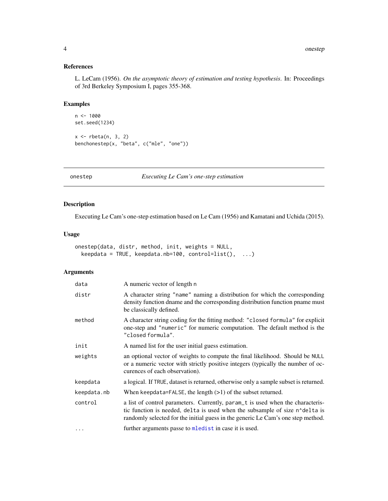#### <span id="page-3-0"></span>References

L. LeCam (1956). *On the asymptotic theory of estimation and testing hypothesis*. In: Proceedings of 3rd Berkeley Symposium I, pages 355-368.

#### Examples

```
n < -1000set.seed(1234)
x \leftarrow rbeta(n, 3, 2)
benchonestep(x, "beta", c("mle", "one"))
```
onestep *Executing Le Cam's one-step estimation*

#### Description

Executing Le Cam's one-step estimation based on Le Cam (1956) and Kamatani and Uchida (2015).

#### Usage

```
onestep(data, distr, method, init, weights = NULL,
 keepdata = TRUE, keepdata.nb=100, control=list(), ...)
```
#### Arguments

| data        | A numeric vector of length n                                                                                                                                                                                                                                                |
|-------------|-----------------------------------------------------------------------------------------------------------------------------------------------------------------------------------------------------------------------------------------------------------------------------|
| distr       | A character string "name" naming a distribution for which the corresponding<br>density function dname and the corresponding distribution function pname must<br>be classically defined.                                                                                     |
| method      | A character string coding for the fitting method: "closed formula" for explicit<br>one-step and "numeric" for numeric computation. The default method is the<br>"closed formula".                                                                                           |
| init        | A named list for the user initial guess estimation.                                                                                                                                                                                                                         |
| weights     | an optional vector of weights to compute the final likelihood. Should be NULL<br>or a numeric vector with strictly positive integers (typically the number of oc-<br>curences of each observation).                                                                         |
| keepdata    | a logical. If TRUE, dataset is returned, otherwise only a sample subset is returned.                                                                                                                                                                                        |
| keepdata.nb | When keepdata=FALSE, the length $(>1)$ of the subset returned.                                                                                                                                                                                                              |
| control     | a list of control parameters. Currently, param <sub><math>\pm</math></sub> is used when the characteris-<br>tic function is needed, delta is used when the subsample of size n^delta is<br>randomly selected for the initial guess in the generic Le Cam's one step method. |
| $\cdots$    | further arguments passe to melodist in case it is used.                                                                                                                                                                                                                     |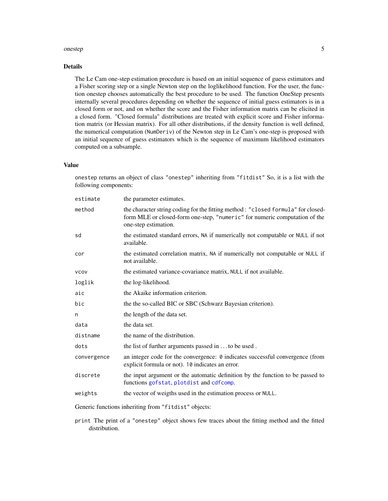#### <span id="page-4-0"></span>onestep 5

#### Details

The Le Cam one-step estimation procedure is based on an initial sequence of guess estimators and a Fisher scoring step or a single Newton step on the loglikelihood function. For the user, the function onestep chooses automatically the best procedure to be used. The function OneStep presents internally several procedures depending on whether the sequence of initial guess estimators is in a closed form or not, and on whether the score and the Fisher information matrix can be elicited in a closed form. "Closed formula" distributions are treated with explicit score and Fisher information matrix (or Hessian matrix). For all other distributions, if the density function is well defined, the numerical computation (NumDeriv) of the Newton step in Le Cam's one-step is proposed with an initial sequence of guess estimators which is the sequence of maximum likelihood estimators computed on a subsample.

#### Value

onestep returns an object of class "onestep" inheriting from "fitdist" So, it is a list with the following components:

| estimate    | the parameter estimates.                                                                                                                                                                |
|-------------|-----------------------------------------------------------------------------------------------------------------------------------------------------------------------------------------|
| method      | the character string coding for the fitting method : "closed formula" for closed-<br>form MLE or closed-form one-step, "numeric" for numeric computation of the<br>one-step estimation. |
| sd          | the estimated standard errors, NA if numerically not computable or NULL if not<br>available.                                                                                            |
| cor         | the estimated correlation matrix, NA if numerically not computable or NULL if<br>not available.                                                                                         |
| <b>VCOV</b> | the estimated variance-covariance matrix, NULL if not available.                                                                                                                        |
| loglik      | the log-likelihood.                                                                                                                                                                     |
| aic         | the Akaike information criterion.                                                                                                                                                       |
| bic         | the the so-called BIC or SBC (Schwarz Bayesian criterion).                                                                                                                              |
| n           | the length of the data set.                                                                                                                                                             |
| data        | the data set.                                                                                                                                                                           |
| distname    | the name of the distribution.                                                                                                                                                           |
| dots        | the list of further arguments passed in  to be used.                                                                                                                                    |
| convergence | an integer code for the convergence: 0 indicates successful convergence (from<br>explicit formula or not). 10 indicates an error.                                                       |
| discrete    | the input argument or the automatic definition by the function to be passed to<br>functions gofstat, plotdist and cdfcomp.                                                              |
| weights     | the vector of weigths used in the estimation process or NULL.                                                                                                                           |
|             |                                                                                                                                                                                         |

Generic functions inheriting from "fitdist" objects:

print The print of a "onestep" object shows few traces about the fitting method and the fitted distribution.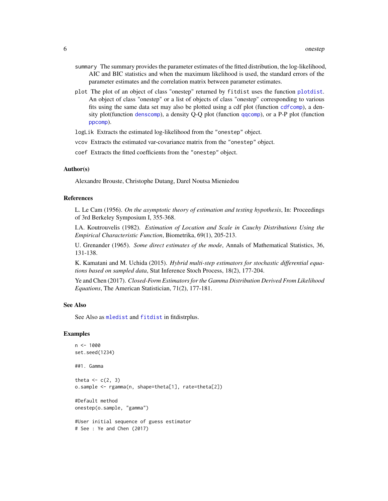- <span id="page-5-0"></span>summary The summary provides the parameter estimates of the fitted distribution, the log-likelihood, AIC and BIC statistics and when the maximum likelihood is used, the standard errors of the parameter estimates and the correlation matrix between parameter estimates.
- plot The plot of an object of class "onestep" returned by fitdist uses the function [plotdist](#page-0-0). An object of class "onestep" or a list of objects of class "onestep" corresponding to various fits using the same data set may also be plotted using a cdf plot (function [cdfcomp](#page-0-0)), a density plot(function [denscomp](#page-0-0)), a density Q-Q plot (function [qqcomp](#page-0-0)), or a P-P plot (function [ppcomp](#page-0-0)).

logLik Extracts the estimated log-likelihood from the "onestep" object.

vcov Extracts the estimated var-covariance matrix from the "onestep" object.

coef Extracts the fitted coefficients from the "onestep" object.

#### Author(s)

Alexandre Brouste, Christophe Dutang, Darel Noutsa Mieniedou

#### References

L. Le Cam (1956). *On the asymptotic theory of estimation and testing hypothesis*, In: Proceedings of 3rd Berkeley Symposium I, 355-368.

I.A. Koutrouvelis (1982). *Estimation of Location and Scale in Cauchy Distributions Using the Empirical Characteristic Function*, Biometrika, 69(1), 205-213.

U. Grenander (1965). *Some direct estimates of the mode*, Annals of Mathematical Statistics, 36, 131-138.

K. Kamatani and M. Uchida (2015). *Hybrid multi-step estimators for stochastic differential equations based on sampled data*, Stat Inference Stoch Process, 18(2), 177-204.

Ye and Chen (2017). *Closed-Form Estimators for the Gamma Distribution Derived From Likelihood Equations*, The American Statistician, 71(2), 177-181.

#### See Also

See Also as [mledist](#page-0-0) and [fitdist](#page-0-0) in fitdistrplus.

#### Examples

```
n <- 1000
set.seed(1234)
##1. Gamma
theta \leftarrow c(2, 3)
o.sample <- rgamma(n, shape=theta[1], rate=theta[2])
#Default method
onestep(o.sample, "gamma")
#User initial sequence of guess estimator
# See : Ye and Chen (2017)
```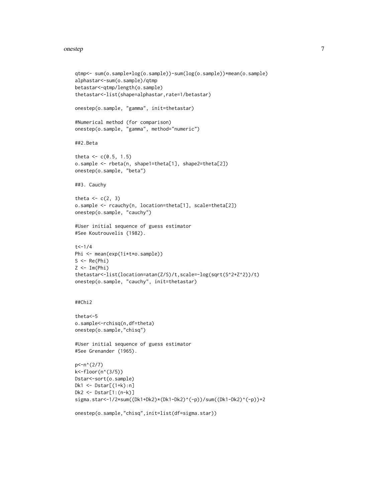#### onestep 7 and 2008 and 2008 and 2008 and 2008 and 2008 and 2008 and 2008 and 2008 and 2008 and 2008 and 2008 and 2008 and 2008 and 2008 and 2008 and 2008 and 2008 and 2008 and 2008 and 2008 and 2008 and 2008 and 2008 and 2

```
qtmp<- sum(o.sample*log(o.sample))-sum(log(o.sample))*mean(o.sample)
alphastar<-sum(o.sample)/qtmp
betastar<-qtmp/length(o.sample)
thetastar<-list(shape=alphastar,rate=1/betastar)
onestep(o.sample, "gamma", init=thetastar)
#Numerical method (for comparison)
onestep(o.sample, "gamma", method="numeric")
##2.Beta
theta <-c(0.5, 1.5)o.sample <- rbeta(n, shape1=theta[1], shape2=theta[2])
onestep(o.sample, "beta")
##3. Cauchy
theta <-c(2, 3)o.sample <- rcauchy(n, location=theta[1], scale=theta[2])
onestep(o.sample, "cauchy")
#User initial sequence of guess estimator
#See Koutrouvelis (1982).
t < -1/4Phi <- mean(exp(1i*t*o.sample))
S \leftarrow \text{Re}(\text{Phi})Z < -Im(Phi)thetastar<-list(location=atan(Z/S)/t,scale=-log(sqrt(S^2+Z^2))/t)
onestep(o.sample, "cauchy", init=thetastar)
##Chi2
theta<-5
o.sample<-rchisq(n,df=theta)
onestep(o.sample,"chisq")
#User initial sequence of guess estimator
#See Grenander (1965).
p<-n^(2/7)
k<-floor(n^(3/5))
Dstar<-sort(o.sample)
Dk1 <- Dstar[(1+k):n]
Dk2 <- Dstar[1:(n-k)]
sigma.star<-1/2*sum((Dk1+Dk2)*(Dk1-Dk2)^(-p))/sum((Dk1-Dk2)^(-p))+2
onestep(o.sample,"chisq",init=list(df=sigma.star))
```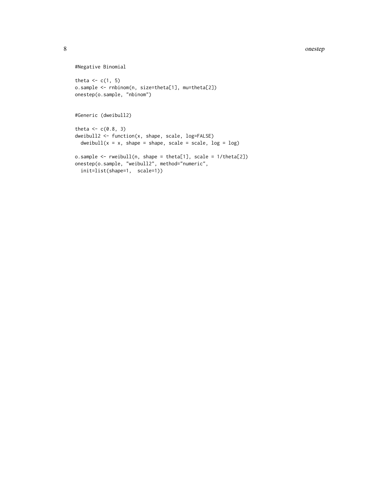#### 8 onestep and the state of the state of the state of the state of the state of the state of the state of the state of the state of the state of the state of the state of the state of the state of the state of the state of

```
#Negative Binomial
theta <-c(1, 5)o.sample <- rnbinom(n, size=theta[1], mu=theta[2])
onestep(o.sample, "nbinom")
#Generic (dweibull2)
theta <-c(0.8, 3)dweibull2 <- function(x, shape, scale, log=FALSE)
  dweibull(x = x, shape = shape, scale = scale, log = log)
o.sample <- rweibull(n, shape = theta[1], scale = 1/theta[2])
onestep(o.sample, "weibull2", method="numeric",
  init=list(shape=1, scale=1))
```